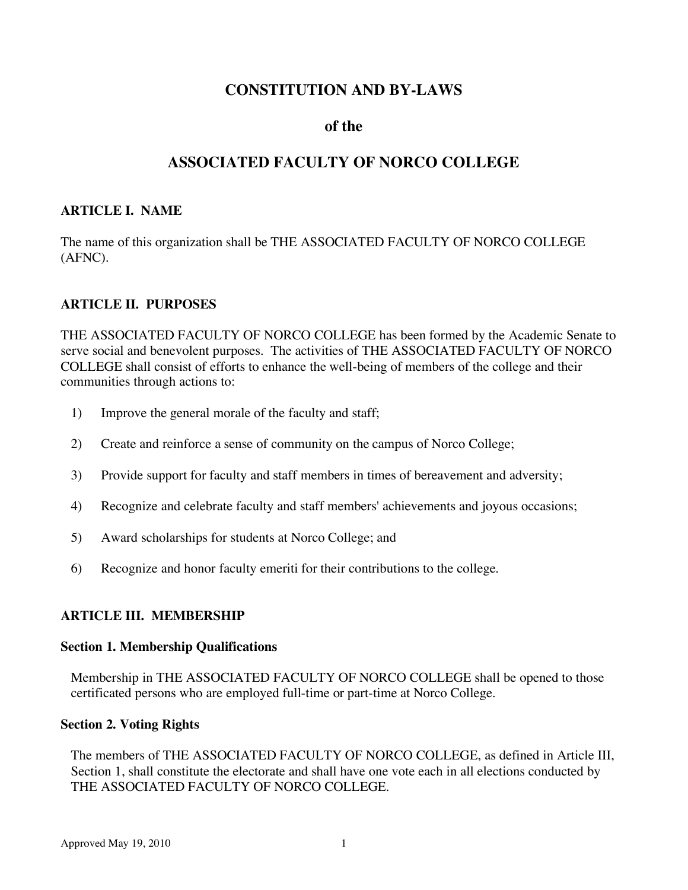# **CONSTITUTION AND BY-LAWS**

# **of the**

# **ASSOCIATED FACULTY OF NORCO COLLEGE**

# **ARTICLE I. NAME**

The name of this organization shall be THE ASSOCIATED FACULTY OF NORCO COLLEGE (AFNC).

## **ARTICLE II. PURPOSES**

THE ASSOCIATED FACULTY OF NORCO COLLEGE has been formed by the Academic Senate to serve social and benevolent purposes. The activities of THE ASSOCIATED FACULTY OF NORCO COLLEGE shall consist of efforts to enhance the well-being of members of the college and their communities through actions to:

- 1) Improve the general morale of the faculty and staff;
- 2) Create and reinforce a sense of community on the campus of Norco College;
- 3) Provide support for faculty and staff members in times of bereavement and adversity;
- 4) Recognize and celebrate faculty and staff members' achievements and joyous occasions;
- 5) Award scholarships for students at Norco College; and
- 6) Recognize and honor faculty emeriti for their contributions to the college.

# **ARTICLE III. MEMBERSHIP**

## **Section 1. Membership Qualifications**

Membership in THE ASSOCIATED FACULTY OF NORCO COLLEGE shall be opened to those certificated persons who are employed full-time or part-time at Norco College.

## **Section 2. Voting Rights**

The members of THE ASSOCIATED FACULTY OF NORCO COLLEGE, as defined in Article III, Section 1, shall constitute the electorate and shall have one vote each in all elections conducted by THE ASSOCIATED FACULTY OF NORCO COLLEGE.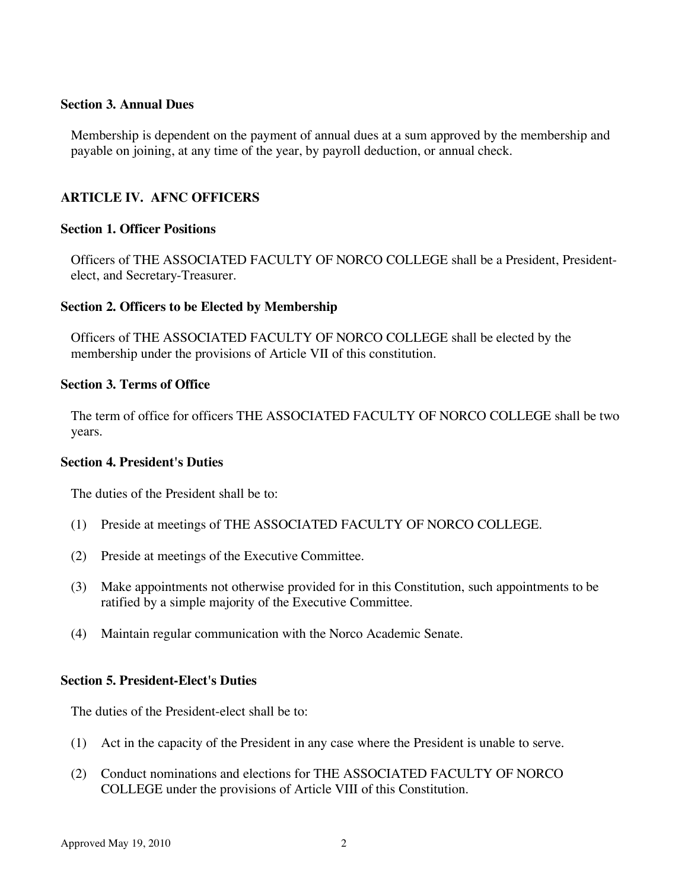### **Section 3. Annual Dues**

Membership is dependent on the payment of annual dues at a sum approved by the membership and payable on joining, at any time of the year, by payroll deduction, or annual check.

# **ARTICLE IV. AFNC OFFICERS**

### **Section 1. Officer Positions**

Officers of THE ASSOCIATED FACULTY OF NORCO COLLEGE shall be a President, Presidentelect, and Secretary-Treasurer.

## **Section 2. Officers to be Elected by Membership**

Officers of THE ASSOCIATED FACULTY OF NORCO COLLEGE shall be elected by the membership under the provisions of Article VII of this constitution.

### **Section 3. Terms of Office**

The term of office for officers THE ASSOCIATED FACULTY OF NORCO COLLEGE shall be two years.

#### **Section 4. President's Duties**

The duties of the President shall be to:

- (1) Preside at meetings of THE ASSOCIATED FACULTY OF NORCO COLLEGE.
- (2) Preside at meetings of the Executive Committee.
- (3) Make appointments not otherwise provided for in this Constitution, such appointments to be ratified by a simple majority of the Executive Committee.
- (4) Maintain regular communication with the Norco Academic Senate.

## **Section 5. President-Elect's Duties**

The duties of the President-elect shall be to:

- (1) Act in the capacity of the President in any case where the President is unable to serve.
- (2) Conduct nominations and elections for THE ASSOCIATED FACULTY OF NORCO COLLEGE under the provisions of Article VIII of this Constitution.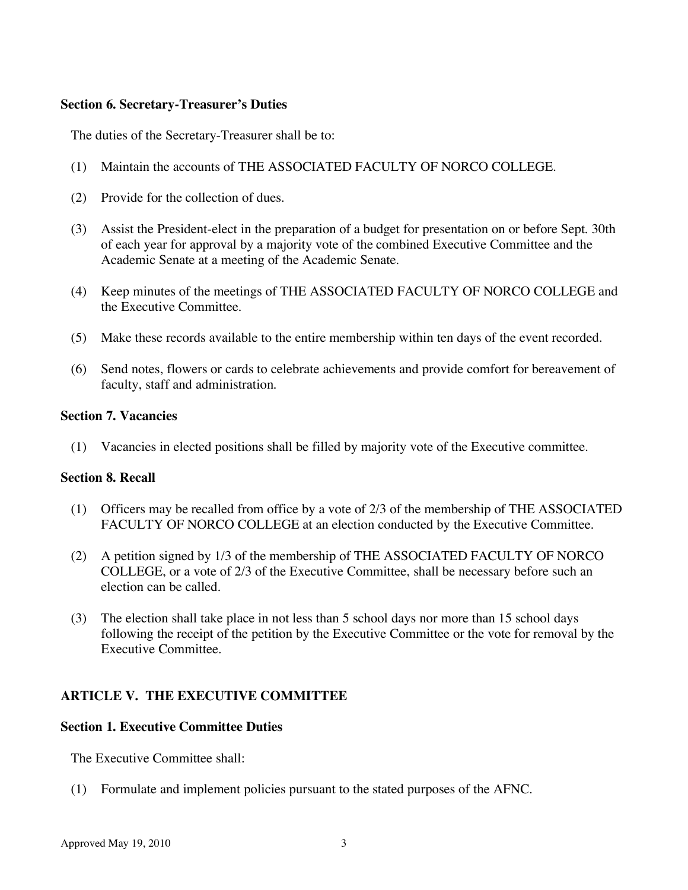### **Section 6. Secretary-Treasurer's Duties**

The duties of the Secretary-Treasurer shall be to:

- (1) Maintain the accounts of THE ASSOCIATED FACULTY OF NORCO COLLEGE.
- (2) Provide for the collection of dues.
- (3) Assist the President-elect in the preparation of a budget for presentation on or before Sept. 30th of each year for approval by a majority vote of the combined Executive Committee and the Academic Senate at a meeting of the Academic Senate.
- (4) Keep minutes of the meetings of THE ASSOCIATED FACULTY OF NORCO COLLEGE and the Executive Committee.
- (5) Make these records available to the entire membership within ten days of the event recorded.
- (6) Send notes, flowers or cards to celebrate achievements and provide comfort for bereavement of faculty, staff and administration.

## **Section 7. Vacancies**

(1) Vacancies in elected positions shall be filled by majority vote of the Executive committee.

## **Section 8. Recall**

- (1) Officers may be recalled from office by a vote of 2/3 of the membership of THE ASSOCIATED FACULTY OF NORCO COLLEGE at an election conducted by the Executive Committee.
- (2) A petition signed by 1/3 of the membership of THE ASSOCIATED FACULTY OF NORCO COLLEGE, or a vote of 2/3 of the Executive Committee, shall be necessary before such an election can be called.
- (3) The election shall take place in not less than 5 school days nor more than 15 school days following the receipt of the petition by the Executive Committee or the vote for removal by the Executive Committee.

# **ARTICLE V. THE EXECUTIVE COMMITTEE**

## **Section 1. Executive Committee Duties**

The Executive Committee shall:

(1) Formulate and implement policies pursuant to the stated purposes of the AFNC.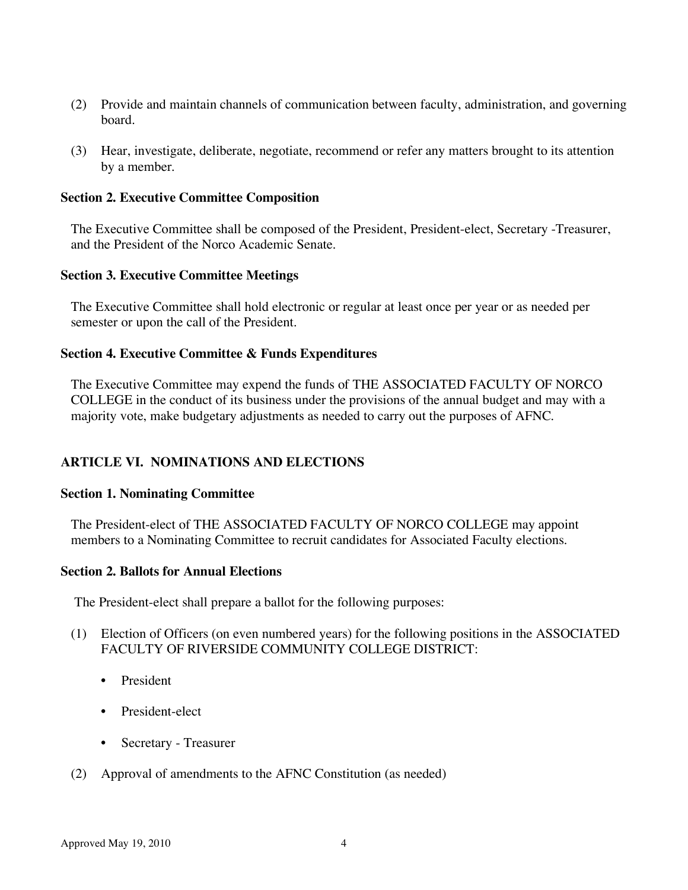- (2) Provide and maintain channels of communication between faculty, administration, and governing board.
- (3) Hear, investigate, deliberate, negotiate, recommend or refer any matters brought to its attention by a member.

#### **Section 2. Executive Committee Composition**

The Executive Committee shall be composed of the President, President-elect, Secretary -Treasurer, and the President of the Norco Academic Senate.

### **Section 3. Executive Committee Meetings**

The Executive Committee shall hold electronic or regular at least once per year or as needed per semester or upon the call of the President.

### **Section 4. Executive Committee & Funds Expenditures**

The Executive Committee may expend the funds of THE ASSOCIATED FACULTY OF NORCO COLLEGE in the conduct of its business under the provisions of the annual budget and may with a majority vote, make budgetary adjustments as needed to carry out the purposes of AFNC.

## **ARTICLE VI. NOMINATIONS AND ELECTIONS**

#### **Section 1. Nominating Committee**

The President-elect of THE ASSOCIATED FACULTY OF NORCO COLLEGE may appoint members to a Nominating Committee to recruit candidates for Associated Faculty elections.

## **Section 2. Ballots for Annual Elections**

The President-elect shall prepare a ballot for the following purposes:

- (1) Election of Officers (on even numbered years) for the following positions in the ASSOCIATED FACULTY OF RIVERSIDE COMMUNITY COLLEGE DISTRICT:
	- President
	- President-elect
	- Secretary Treasurer
- (2) Approval of amendments to the AFNC Constitution (as needed)